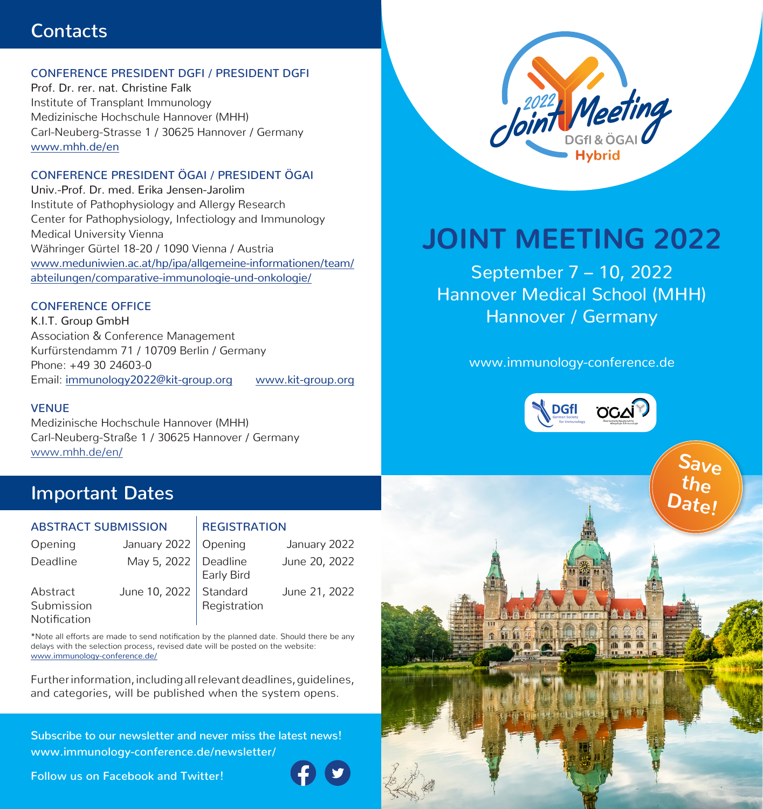## **Contacts**

## CONFERENCE PRESIDENT DGFI / PRESIDENT DGFI

Prof. Dr. rer. nat. Christine Falk Institute of Transplant Immunology Medizinische Hochschule Hannover (MHH) Carl-Neuberg-Strasse 1 / 30625 Hannover / Germany www.mhh.de/en

## CONFERENCE PRESIDENT ÖGAI / PRESIDENT ÖGAI

Univ.-Prof. Dr. med. Erika Jensen-Jarolim Institute of Pathophysiology and Allergy Research Center for Pathophysiology, Infectiology and Immunology Medical University Vienna Währinger Gürtel 18-20 / 1090 Vienna / Austria www.meduniwien.ac.at/hp/ipa/allgemeine-informationen/team/ abteilungen/comparative-immunologie-und-onkologie/

## CONFERENCE OFFICE

K.I.T. Group GmbH Association & Conference Management Kurfürstendamm 71 / 10709 Berlin / Germany Phone: +49 30 24603-0 Email: immunology2022@kit-group.org www.kit-group.org

### **VENUE**

Medizinische Hochschule Hannover (MHH) Carl-Neuberg-Straße 1 / 30625 Hannover / Germany www.mhh.de/en/

## **Important Dates**

## ABSTRACT SUBMISSION REGISTRATION

| Opening                                | January 2022   Opening   |              | January 2022  |
|----------------------------------------|--------------------------|--------------|---------------|
| Deadline                               | May 5, 2022   Deadline   | Early Bird   | June 20, 2022 |
| Abstract<br>Submission<br>Notification | June 10, 2022   Standard | Registration | June 21, 2022 |

\*Note all efforts are made to send notification by the planned date. Should there be any delays with the selection process, revised date will be posted on the website: www.immunology-conference.de/

Further information, including all relevant deadlines, guidelines, and categories, will be published when the system opens.

**Subscribe to our newsletter and never miss the latest news! www.immunology-conference.de/newsletter/**

**Follow us on Facebook and Twitter!** 





# **JOINT MEETING 2022**

September 7 – 10, 2022 Hannover Medical School (MHH) Hannover / Germany

www.immunology-conference.de